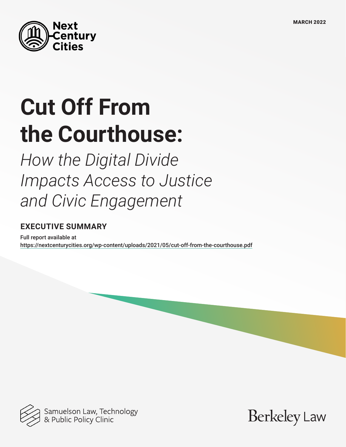

# **Cut Off From the Courthouse:**

*How the Digital Divide Impacts Access to Justice and Civic Engagement* 

### **EXECUTIVE SUMMARY**

Full report available at <https://nextcenturycities.org/wp-content/uploads/2021/05/cut-off-from-the-courthouse.pdf>



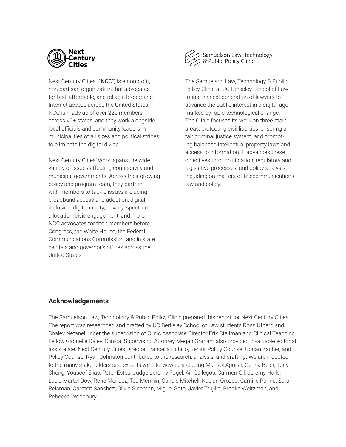

Next Century Cities ("NCC") is a nonprofit, non-partisan organization that advocates for fast, affordable, and reliable broadband Internet access across the United States. NCC is made up of over 220 members across 40+ states, and they work alongside local officials and community leaders in municipalities of all sizes and political stripes to eliminate the digital divide.

Next Century Cities' work spans the wide variety of issues affecting connectivity and municipal governments. Across their growing policy and program team, they partner with members to tackle issues including broadband access and adoption, digital inclusion, digital equity, privacy, spectrum allocation, civic engagement, and more. NCC advocates for their members before Congress, the White House, the Federal Communications Commission, and in state capitals and governor's offices across the United States.



Samuelson Law, Technology<br>& Public Policy Clinic

The Samuelson Law, Technology & Public Policy Clinic at UC Berkeley School of Law trains the next generation of lawyers to advance the public interest in a digital age marked by rapid technological change. The Clinic focuses its work on three main areas: protecting civil liberties, ensuring a fair criminal justice system, and promoting balanced intellectual property laws and access to information. It advances these objectives through litigation, regulatory and legislative processes, and policy analysis, including on matters of telecommunications law and policy.

#### **Acknowledgements**

The Samuelson Law, Technology & Public Policy Clinic prepared this report for Next Century Cities. The report was researched and drafted by UC Berkeley School of Law students Ross Ufberg and Shalev Netanel under the supervision of Clinic Associate Director Erik Stallman and Clinical Teaching Fellow Gabrielle Daley. Clinical Supervising Attorney Megan Graham also provided invaluable editorial assistance. Next Century Cities Director Francella Ochillo, Senior Policy Counsel Corian Zacher, and Policy Counsel Ryan Johnston contributed to the research, analysis, and drafting. We are indebted to the many stakeholders and experts we interviewed, including Marisol Aguilar, Genna Beier, Tony Cheng, Youseef Elias, Peter Estes, Judge Jeremy Fogel, Air Gallegos, Carmen Gil, Jeremy Haile, Lucia Martel Dow, Rene Mendez, Ted Mermin, Candis Mitchell, Kaelan Orozco, Camille Pannu, Sarah Reisman, Carmen Sanchez, Olivia Sideman, Miguel Soto, Javier Trujillo, Brooke Weitzman, and Rebecca Woodbury.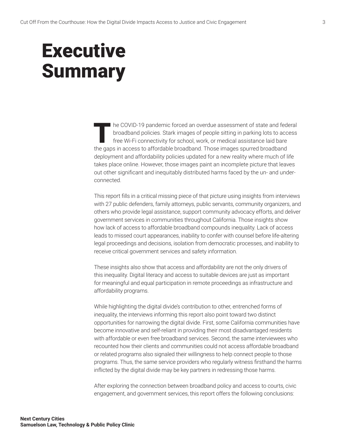## **Executive Summary**

The COVID-19 pandemic forced an overdue assessment of state and federal<br>broadband policies. Stark images of people sitting in parking lots to access<br>free Wi-Fi connectivity for school, work, or medical assistance laid bare broadband policies. Stark images of people sitting in parking lots to access free Wi-Fi connectivity for school, work, or medical assistance laid bare the gaps in access to affordable broadband. Those images spurred broadband deployment and affordability policies updated for a new reality where much of life takes place online. However, those images paint an incomplete picture that leaves out other significant and inequitably distributed harms faced by the un- and underconnected.

This report fills in a critical missing piece of that picture using insights from interviews with 27 public defenders, family attorneys, public servants, community organizers, and others who provide legal assistance, support community advocacy efforts, and deliver government services in communities throughout California. Those insights show how lack of access to affordable broadband compounds inequality. Lack of access leads to missed court appearances, inability to confer with counsel before life-altering legal proceedings and decisions, isolation from democratic processes, and inability to receive critical government services and safety information.

These insights also show that access and affordability are not the only drivers of this inequality. Digital literacy and access to suitable devices are just as important for meaningful and equal participation in remote proceedings as infrastructure and affordability programs.

While highlighting the digital divide's contribution to other, entrenched forms of inequality, the interviews informing this report also point toward two distinct opportunities for narrowing the digital divide. First, some California communities have become innovative and self-reliant in providing their most disadvantaged residents with affordable or even free broadband services. Second, the same interviewees who recounted how their clients and communities could not access affordable broadband or related programs also signaled their willingness to help connect people to those programs. Thus, the same service providers who regularly witness firsthand the harms inflicted by the digital divide may be key partners in redressing those harms.

After exploring the connection between broadband policy and access to courts, civic engagement, and government services, this report offers the following conclusions: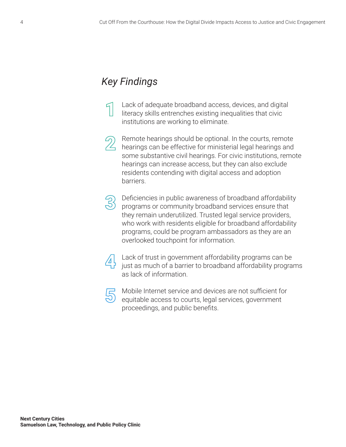### *Key Findings*

Lack of adequate broadband access, devices, and digital literacy skills entrenches existing inequalities that civic institutions are working to eliminate.

Remote hearings should be optional. In the courts, remote hearings can be effective for ministerial legal hearings and some substantive civil hearings. For civic institutions, remote hearings can increase access, but they can also exclude residents contending with digital access and adoption barriers.

Deficiencies in public awareness of broadband affordability programs or community broadband services ensure that they remain underutilized. Trusted legal service providers, who work with residents eligible for broadband affordability programs, could be program ambassadors as they are an overlooked touchpoint for information.



Lack of trust in government affordability programs can be just as much of a barrier to broadband affordability programs as lack of information.



Mobile Internet service and devices are not sufficient for equitable access to courts, legal services, government proceedings, and public benefits.